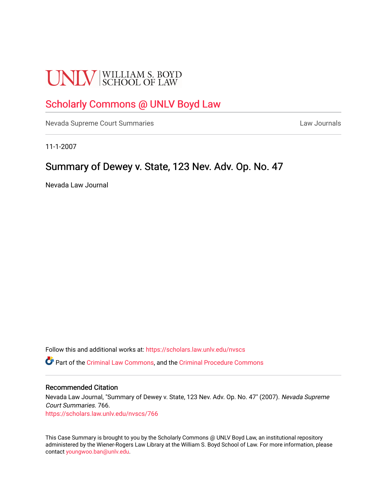# **UNLV** SCHOOL OF LAW

# [Scholarly Commons @ UNLV Boyd Law](https://scholars.law.unlv.edu/)

[Nevada Supreme Court Summaries](https://scholars.law.unlv.edu/nvscs) **Law Journals** Law Journals

11-1-2007

## Summary of Dewey v. State, 123 Nev. Adv. Op. No. 47

Nevada Law Journal

Follow this and additional works at: [https://scholars.law.unlv.edu/nvscs](https://scholars.law.unlv.edu/nvscs?utm_source=scholars.law.unlv.edu%2Fnvscs%2F766&utm_medium=PDF&utm_campaign=PDFCoverPages)

Part of the [Criminal Law Commons,](http://network.bepress.com/hgg/discipline/912?utm_source=scholars.law.unlv.edu%2Fnvscs%2F766&utm_medium=PDF&utm_campaign=PDFCoverPages) and the [Criminal Procedure Commons](http://network.bepress.com/hgg/discipline/1073?utm_source=scholars.law.unlv.edu%2Fnvscs%2F766&utm_medium=PDF&utm_campaign=PDFCoverPages)

#### Recommended Citation

Nevada Law Journal, "Summary of Dewey v. State, 123 Nev. Adv. Op. No. 47" (2007). Nevada Supreme Court Summaries. 766. [https://scholars.law.unlv.edu/nvscs/766](https://scholars.law.unlv.edu/nvscs/766?utm_source=scholars.law.unlv.edu%2Fnvscs%2F766&utm_medium=PDF&utm_campaign=PDFCoverPages)

This Case Summary is brought to you by the Scholarly Commons @ UNLV Boyd Law, an institutional repository administered by the Wiener-Rogers Law Library at the William S. Boyd School of Law. For more information, please contact [youngwoo.ban@unlv.edu](mailto:youngwoo.ban@unlv.edu).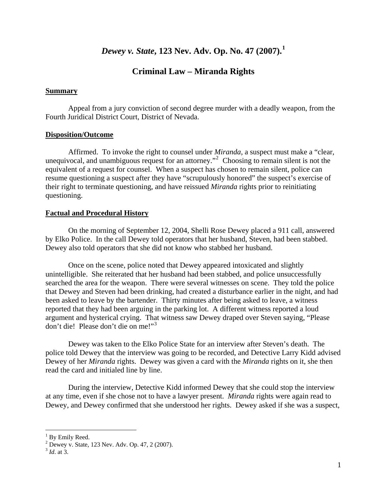## *Dewey v. State***, 123 Nev. Adv. Op. No. 47 (2007).[1](#page-1-0)**

## **Criminal Law – Miranda Rights**

#### **Summary**

Appeal from a jury conviction of second degree murder with a deadly weapon, from the Fourth Juridical District Court, District of Nevada.

#### **Disposition/Outcome**

Affirmed. To invoke the right to counsel under *Miranda*, a suspect must make a "clear, unequivocal, and unambiguous request for an attorney."<sup>[2](#page-1-1)</sup> Choosing to remain silent is not the equivalent of a request for counsel. When a suspect has chosen to remain silent, police can resume questioning a suspect after they have "scrupulously honored" the suspect's exercise of their right to terminate questioning, and have reissued *Miranda* rights prior to reinitiating questioning.

#### **Factual and Procedural History**

On the morning of September 12, 2004, Shelli Rose Dewey placed a 911 call, answered by Elko Police. In the call Dewey told operators that her husband, Steven, had been stabbed. Dewey also told operators that she did not know who stabbed her husband.

Once on the scene, police noted that Dewey appeared intoxicated and slightly unintelligible. She reiterated that her husband had been stabbed, and police unsuccessfully searched the area for the weapon. There were several witnesses on scene. They told the police that Dewey and Steven had been drinking, had created a disturbance earlier in the night, and had been asked to leave by the bartender. Thirty minutes after being asked to leave, a witness reported that they had been arguing in the parking lot. A different witness reported a loud argument and hysterical crying. That witness saw Dewey draped over Steven saying, "Please don't die! Please don't die on me!"[3](#page-1-2)

Dewey was taken to the Elko Police State for an interview after Steven's death. The police told Dewey that the interview was going to be recorded, and Detective Larry Kidd advised Dewey of her *Miranda* rights. Dewey was given a card with the *Miranda* rights on it, she then read the card and initialed line by line.

During the interview, Detective Kidd informed Dewey that she could stop the interview at any time, even if she chose not to have a lawyer present. *Miranda* rights were again read to Dewey, and Dewey confirmed that she understood her rights. Dewey asked if she was a suspect,

 $\overline{a}$ 

<span id="page-1-0"></span><sup>&</sup>lt;sup>1</sup> By Emily Reed.

<span id="page-1-1"></span><sup>2</sup> Dewey v. State, 123 Nev. Adv. Op. 47, 2 (2007).

<span id="page-1-2"></span><sup>3</sup> *Id*. at 3.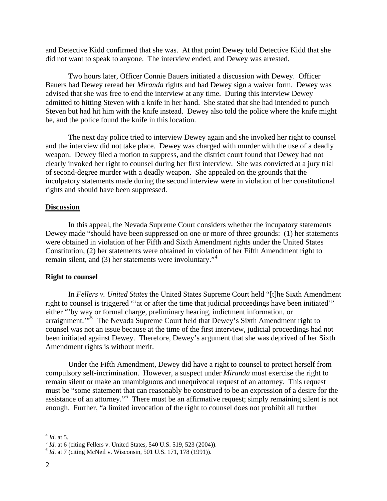and Detective Kidd confirmed that she was. At that point Dewey told Detective Kidd that she did not want to speak to anyone. The interview ended, and Dewey was arrested.

Two hours later, Officer Connie Bauers initiated a discussion with Dewey. Officer Bauers had Dewey reread her *Miranda* rights and had Dewey sign a waiver form. Dewey was advised that she was free to end the interview at any time. During this interview Dewey admitted to hitting Steven with a knife in her hand. She stated that she had intended to punch Steven but had hit him with the knife instead. Dewey also told the police where the knife might be, and the police found the knife in this location.

The next day police tried to interview Dewey again and she invoked her right to counsel and the interview did not take place. Dewey was charged with murder with the use of a deadly weapon. Dewey filed a motion to suppress, and the district court found that Dewey had not clearly invoked her right to counsel during her first interview. She was convicted at a jury trial of second-degree murder with a deadly weapon. She appealed on the grounds that the inculpatory statements made during the second interview were in violation of her constitutional rights and should have been suppressed.

#### **Discussion**

In this appeal, the Nevada Supreme Court considers whether the incupatory statements Dewey made "should have been suppressed on one or more of three grounds: (1) her statements were obtained in violation of her Fifth and Sixth Amendment rights under the United States Constitution, (2) her statements were obtained in violation of her Fifth Amendment right to remain silent, and  $(3)$  her statements were involuntary.<sup> $,4$  $,4$ </sup>

#### **Right to counsel**

In *Fellers v. United States* the United States Supreme Court held "[t]he Sixth Amendment right to counsel is triggered "'at or after the time that judicial proceedings have been initiated'" either "'by way or formal charge, preliminary hearing, indictment information, or arraignment."<sup>[5](#page-2-1)</sup> The Nevada Supreme Court held that Dewey's Sixth Amendment right to counsel was not an issue because at the time of the first interview, judicial proceedings had not been initiated against Dewey. Therefore, Dewey's argument that she was deprived of her Sixth Amendment rights is without merit.

Under the Fifth Amendment, Dewey did have a right to counsel to protect herself from compulsory self-incrimination. However, a suspect under *Miranda* must exercise the right to remain silent or make an unambiguous and unequivocal request of an attorney. This request must be "some statement that can reasonably be construed to be an expression of a desire for the assistance of an attorney."[6](#page-2-2) There must be an affirmative request; simply remaining silent is not enough. Further, "a limited invocation of the right to counsel does not prohibit all further

1

<span id="page-2-1"></span><span id="page-2-0"></span><sup>4</sup> *Id*. at 5. 5 *Id*. at 6 (citing Fellers v. United States, 540 U.S. 519, 523 (2004)). 6 *Id*. at 7 (citing McNeil v. Wisconsin, 501 U.S. 171, 178 (1991)).

<span id="page-2-2"></span>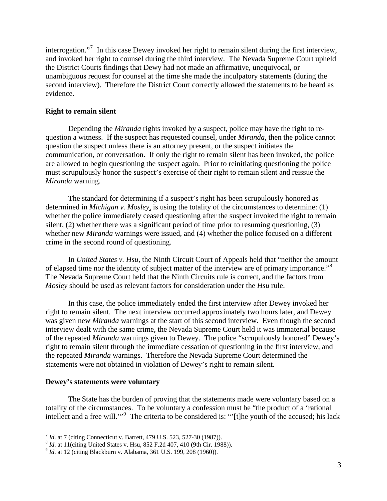interrogation."<sup>[7](#page-3-0)</sup> In this case Dewey invoked her right to remain silent during the first interview, and invoked her right to counsel during the third interview. The Nevada Supreme Court upheld the District Courts findings that Dewy had not made an affirmative, unequivocal, or unambiguous request for counsel at the time she made the inculpatory statements (during the second interview). Therefore the District Court correctly allowed the statements to be heard as evidence.

#### **Right to remain silent**

Depending the *Miranda* rights invoked by a suspect, police may have the right to requestion a witness. If the suspect has requested counsel, under *Miranda*, then the police cannot question the suspect unless there is an attorney present, or the suspect initiates the communication, or conversation. If only the right to remain silent has been invoked, the police are allowed to begin questioning the suspect again. Prior to reinitiating questioning the police must scrupulously honor the suspect's exercise of their right to remain silent and reissue the *Miranda* warning.

The standard for determining if a suspect's right has been scrupulously honored as determined in *Michigan v. Mosley*, is using the totality of the circumstances to determine: (1) whether the police immediately ceased questioning after the suspect invoked the right to remain silent, (2) whether there was a significant period of time prior to resuming questioning, (3) whether new *Miranda* warnings were issued, and (4) whether the police focused on a different crime in the second round of questioning.

In *United States v. Hsu*, the Ninth Circuit Court of Appeals held that "neither the amount of elapsed time nor the identity of subject matter of the interview are of primary importance."<sup>[8](#page-3-1)</sup> The Nevada Supreme Court held that the Ninth Circuits rule is correct, and the factors from *Mosley* should be used as relevant factors for consideration under the *Hsu* rule.

In this case, the police immediately ended the first interview after Dewey invoked her right to remain silent. The next interview occurred approximately two hours later, and Dewey was given new *Miranda* warnings at the start of this second interview. Even though the second interview dealt with the same crime, the Nevada Supreme Court held it was immaterial because of the repeated *Miranda* warnings given to Dewey. The police "scrupulously honored" Dewey's right to remain silent through the immediate cessation of questioning in the first interview, and the repeated *Miranda* warnings. Therefore the Nevada Supreme Court determined the statements were not obtained in violation of Dewey's right to remain silent.

#### **Dewey's statements were voluntary**

 $\overline{a}$ 

The State has the burden of proving that the statements made were voluntary based on a totality of the circumstances. To be voluntary a confession must be "the product of a 'rational intellect and a free will."<sup>[9](#page-3-2)</sup> The criteria to be considered is: "[t]he youth of the accused; his lack

<span id="page-3-1"></span><span id="page-3-0"></span><sup>&</sup>lt;sup>7</sup> *Id.* at 7 (citing Connecticut v. Barrett, 479 U.S. 523, 527-30 (1987)).<br>
<sup>8</sup> *Id.* at 11(citing United States v. Hsu, 852 F.2d 407, 410 (9th Cir. 1988)).<br>
<sup>9</sup> *Id.* at 12 (citing Blackburn v. Alabama, 361 U.S. 199, 2

<span id="page-3-2"></span>